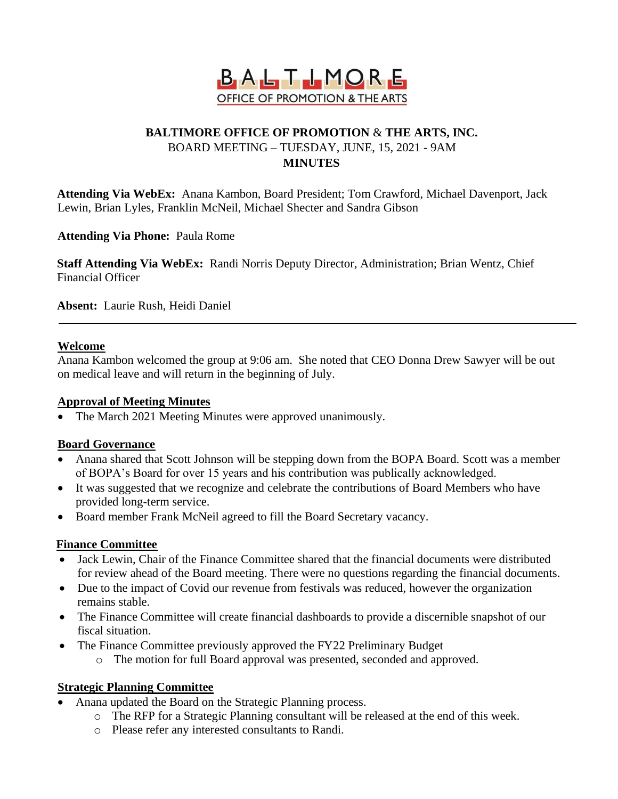

### **BALTIMORE OFFICE OF PROMOTION** & **THE ARTS, INC.** BOARD MEETING – TUESDAY, JUNE, 15, 2021 - 9AM **MINUTES**

**Attending Via WebEx:** Anana Kambon, Board President; Tom Crawford, Michael Davenport, Jack Lewin, Brian Lyles, Franklin McNeil, Michael Shecter and Sandra Gibson

**Attending Via Phone:** Paula Rome

**Staff Attending Via WebEx:** Randi Norris Deputy Director, Administration; Brian Wentz, Chief Financial Officer

**Absent:** Laurie Rush, Heidi Daniel

### **Welcome**

Anana Kambon welcomed the group at 9:06 am. She noted that CEO Donna Drew Sawyer will be out on medical leave and will return in the beginning of July.

### **Approval of Meeting Minutes**

• The March 2021 Meeting Minutes were approved unanimously.

### **Board Governance**

- Anana shared that Scott Johnson will be stepping down from the BOPA Board. Scott was a member of BOPA's Board for over 15 years and his contribution was publically acknowledged.
- It was suggested that we recognize and celebrate the contributions of Board Members who have provided long-term service.
- Board member Frank McNeil agreed to fill the Board Secretary vacancy.

### **Finance Committee**

- Jack Lewin, Chair of the Finance Committee shared that the financial documents were distributed for review ahead of the Board meeting. There were no questions regarding the financial documents.
- Due to the impact of Covid our revenue from festivals was reduced, however the organization remains stable.
- The Finance Committee will create financial dashboards to provide a discernible snapshot of our fiscal situation.
- The Finance Committee previously approved the FY22 Preliminary Budget
	- o The motion for full Board approval was presented, seconded and approved.

### **Strategic Planning Committee**

- Anana updated the Board on the Strategic Planning process.
	- o The RFP for a Strategic Planning consultant will be released at the end of this week.
	- o Please refer any interested consultants to Randi.